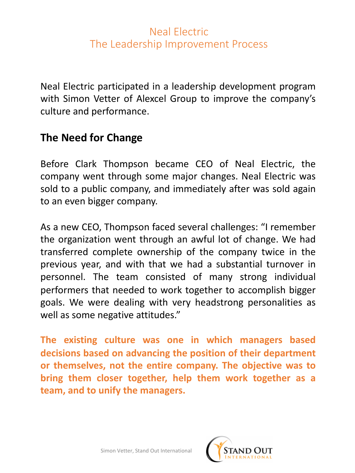## Neal Electric The Leadership Improvement Process

Neal Electric participated in a leadership development program with Simon Vetter of Alexcel Group to improve the company's culture and performance.

## **The Need for Change**

Before Clark Thompson became CEO of Neal Electric, the company went through some major changes. Neal Electric was sold to a public company, and immediately after was sold again to an even bigger company.

As a new CEO, Thompson faced several challenges: "I remember the organization went through an awful lot of change. We had transferred complete ownership of the company twice in the previous year, and with that we had a substantial turnover in personnel. The team consisted of many strong individual performers that needed to work together to accomplish bigger goals. We were dealing with very headstrong personalities as well as some negative attitudes."

**The existing culture was one in which managers based decisions based on advancing the position of their department or themselves, not the entire company. The objective was to bring them closer together, help them work together as a team, and to unify the managers.**

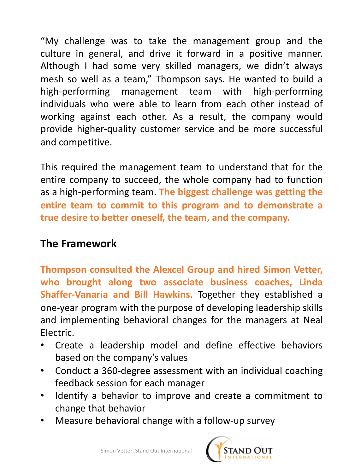"My challenge was to take the management group and the culture in general, and drive it forward in a positive manner. Although I had some very skilled managers, we didn't always mesh so well as a team," Thompson says. He wanted to build a high-performing management team with high-performing individuals who were able to learn from each other instead of working against each other. As a result, the company would provide higher-quality customer service and be more successful and competitive.

This required the management team to understand that for the entire company to succeed, the whole company had to function as a high-performing team. **The biggest challenge was getting the entire team to commit to this program and to demonstrate a true desire to better oneself, the team, and the company.**

## **The Framework**

**Thompson consulted the Alexcel Group and hired Simon Vetter, who brought along two associate business coaches, Linda Shaffer-Vanaria and Bill Hawkins.** Together they established a one-year program with the purpose of developing leadership skills and implementing behavioral changes for the managers at Neal Electric.

- Create a leadership model and define effective behaviors based on the company's values
- Conduct a 360-degree assessment with an individual coaching feedback session for each manager
- Identify a behavior to improve and create a commitment to change that behavior
- Measure behavioral change with a follow-up survey

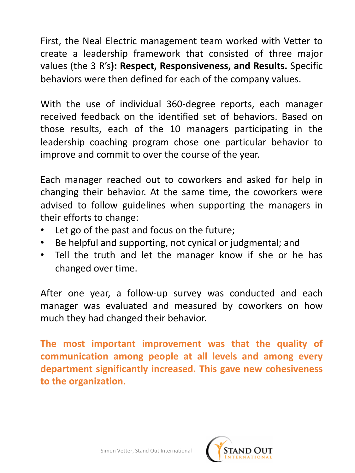First, the Neal Electric management team worked with Vetter to create a leadership framework that consisted of three major values (the 3 R's**): Respect, Responsiveness, and Results.** Specific behaviors were then defined for each of the company values.

With the use of individual 360-degree reports, each manager received feedback on the identified set of behaviors. Based on those results, each of the 10 managers participating in the leadership coaching program chose one particular behavior to improve and commit to over the course of the year.

Each manager reached out to coworkers and asked for help in changing their behavior. At the same time, the coworkers were advised to follow guidelines when supporting the managers in their efforts to change:

- Let go of the past and focus on the future;
- Be helpful and supporting, not cynical or judgmental; and
- Tell the truth and let the manager know if she or he has changed over time.

After one year, a follow-up survey was conducted and each manager was evaluated and measured by coworkers on how much they had changed their behavior.

**The most important improvement was that the quality of communication among people at all levels and among every department significantly increased. This gave new cohesiveness to the organization.**